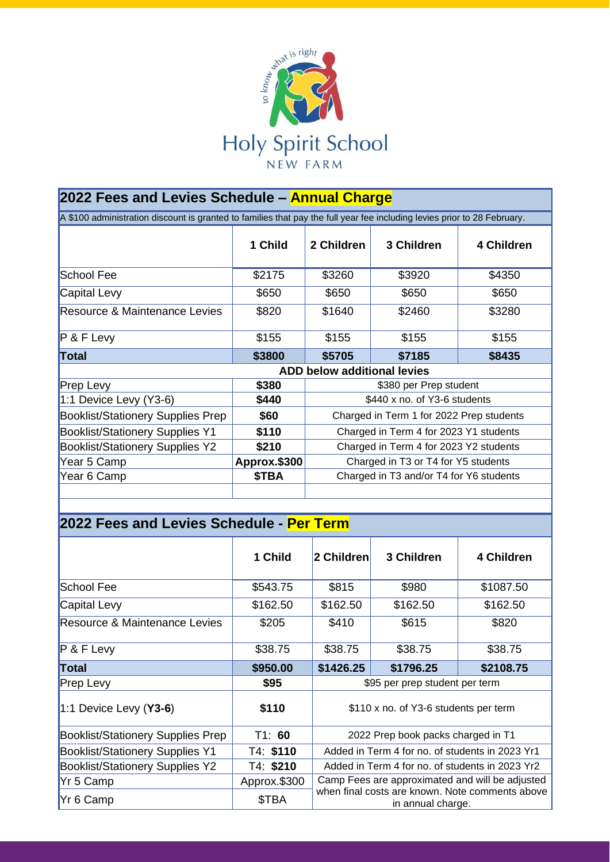

| 2022 Fees and Levies Schedule – Annual Charge                                                                            |                                    |                                          |            |            |  |  |  |
|--------------------------------------------------------------------------------------------------------------------------|------------------------------------|------------------------------------------|------------|------------|--|--|--|
| A \$100 administration discount is granted to families that pay the full year fee including levies prior to 28 February. |                                    |                                          |            |            |  |  |  |
|                                                                                                                          | 1 Child                            | 2 Children                               | 3 Children | 4 Children |  |  |  |
| School Fee                                                                                                               | \$2175                             | \$3260                                   | \$3920     | \$4350     |  |  |  |
| Capital Levy                                                                                                             | \$650                              | \$650                                    | \$650      | \$650      |  |  |  |
| Resource & Maintenance Levies                                                                                            | \$820                              | \$1640                                   | \$2460     | \$3280     |  |  |  |
| P & F Levy                                                                                                               | \$155                              | \$155                                    | \$155      | \$155      |  |  |  |
| Total                                                                                                                    | \$3800                             | \$5705                                   | \$7185     | \$8435     |  |  |  |
|                                                                                                                          | <b>ADD below additional levies</b> |                                          |            |            |  |  |  |
| Prep Levy                                                                                                                | \$380                              | \$380 per Prep student                   |            |            |  |  |  |
| $1:1$ Device Levy (Y3-6)                                                                                                 | \$440                              | \$440 x no. of Y3-6 students             |            |            |  |  |  |
| <b>Booklist/Stationery Supplies Prep</b>                                                                                 | \$60                               | Charged in Term 1 for 2022 Prep students |            |            |  |  |  |
| <b>Booklist/Stationery Supplies Y1</b>                                                                                   | \$110                              | Charged in Term 4 for 2023 Y1 students   |            |            |  |  |  |
| <b>Booklist/Stationery Supplies Y2</b>                                                                                   | \$210                              | Charged in Term 4 for 2023 Y2 students   |            |            |  |  |  |
| Year 5 Camp                                                                                                              | Approx.\$300                       | Charged in T3 or T4 for Y5 students      |            |            |  |  |  |
| Year 6 Camp                                                                                                              | \$TBA                              | Charged in T3 and/or T4 for Y6 students  |            |            |  |  |  |
|                                                                                                                          |                                    |                                          |            |            |  |  |  |

# **2022 Fees and Levies Schedule - Per Term**

|                                          | 1 Child      | 2 Children                                                                                                              | 3 Children | 4 Children |  |
|------------------------------------------|--------------|-------------------------------------------------------------------------------------------------------------------------|------------|------------|--|
| School Fee                               | \$543.75     | \$815                                                                                                                   | \$980      | \$1087.50  |  |
| Capital Levy                             | \$162.50     | \$162.50                                                                                                                | \$162.50   | \$162.50   |  |
| <b>Resource &amp; Maintenance Levies</b> | \$205        | \$410                                                                                                                   | \$615      | \$820      |  |
| $P$ & F Levy                             | \$38.75      | \$38.75                                                                                                                 | \$38.75    | \$38.75    |  |
| Total                                    | \$950.00     | \$1426.25                                                                                                               | \$1796.25  | \$2108.75  |  |
| <b>Prep Levy</b>                         | \$95         | \$95 per prep student per term                                                                                          |            |            |  |
| $1:1$ Device Levy (Y3-6)                 | \$110        | \$110 x no. of Y3-6 students per term                                                                                   |            |            |  |
| <b>Booklist/Stationery Supplies Prep</b> | T1: 60       | 2022 Prep book packs charged in T1                                                                                      |            |            |  |
| <b>Booklist/Stationery Supplies Y1</b>   | T4: \$110    | Added in Term 4 for no. of students in 2023 Yr1                                                                         |            |            |  |
| <b>Booklist/Stationery Supplies Y2</b>   | T4: \$210    | Added in Term 4 for no. of students in 2023 Yr2                                                                         |            |            |  |
| Yr 5 Camp                                | Approx.\$300 | Camp Fees are approximated and will be adjusted<br>when final costs are known. Note comments above<br>in annual charge. |            |            |  |
| Yr 6 Camp                                | \$TBA        |                                                                                                                         |            |            |  |